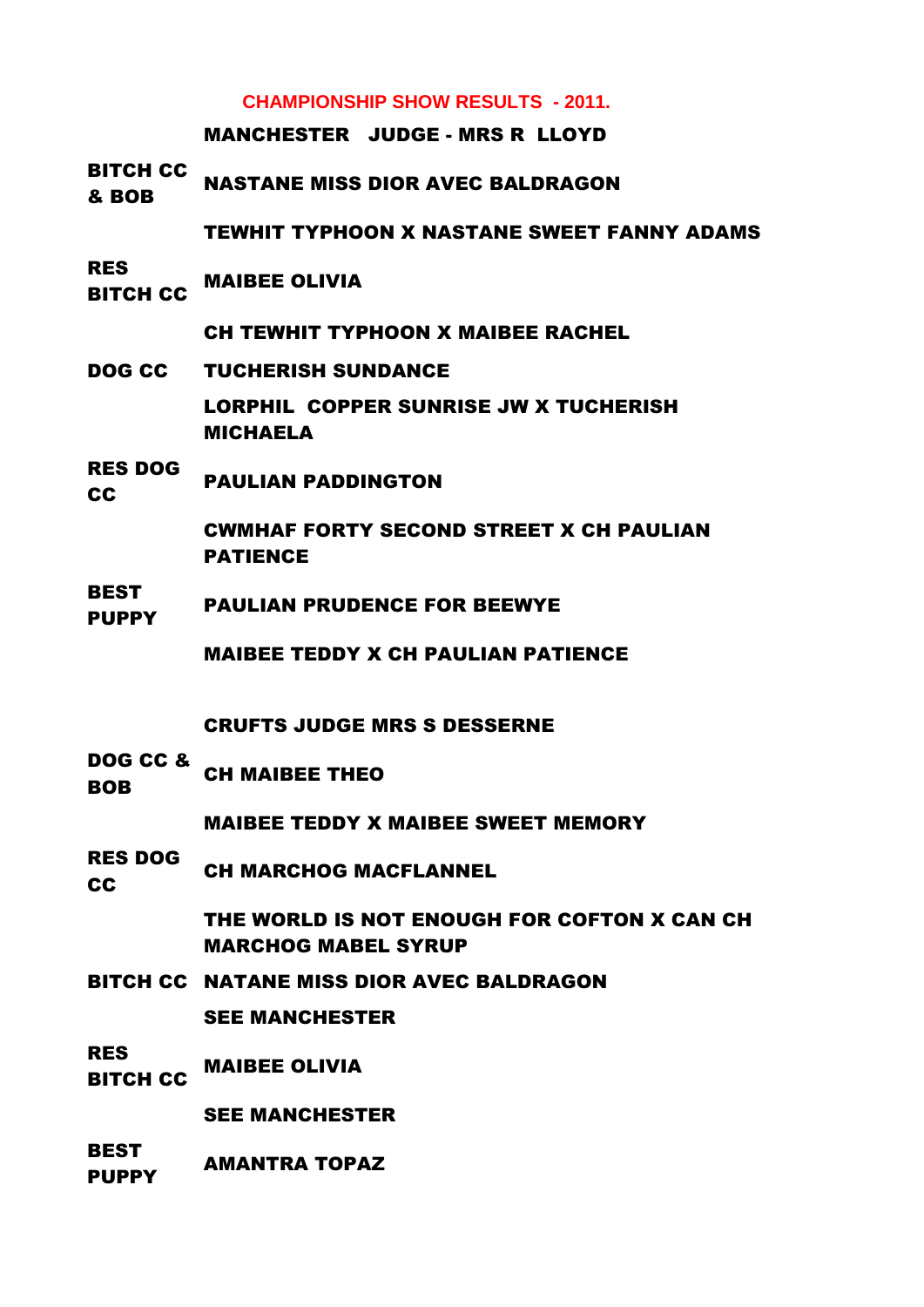# **CHAMPIONSHIP SHOW RESULTS - 2011.**

MANCHESTER JUDGE - MRS R LLOYD

BITCH CC **BOB** NASTANE MISS DIOR AVEC BALDRAGON

TEWHIT TYPHOON X NASTANE SWEET FANNY ADAMS

RES **BITCH CC MAIBEE OLIVIA** 

CH TEWHIT TYPHOON X MAIBEE RACHEL

- DOG CC TUCHERISH SUNDANCE LORPHIL COPPER SUNRISE JW X TUCHERISH MICHAELA
- RES DOG **CC** PAULIAN PADDINGTON

CWMHAF FORTY SECOND STREET X CH PAULIAN PATIENCE

**BEST** PLUPPY PAULIAN PRUDENCE FOR BEEWYE

MAIBEE TEDDY X CH PAULIAN PATIENCE

CRUFTS JUDGE MRS S DESSERNE

DOG CC & BOB CH MAIBEE THEO

MAIBEE TEDDY X MAIBEE SWEET MEMORY

RES DOG **COULD CH MARCHOG MACFLANNEL** 

> THE WORLD IS NOT ENOUGH FOR COFTON X CAN CH MARCHOG MABEL SYRUP

BITCH CC NATANE MISS DIOR AVEC BALDRAGON SEE MANCHESTER

RES **BITCH CC MAIBEE OLIVIA** 

SEE MANCHESTER

**BEST** PUPPY AMANTRA TOPAZ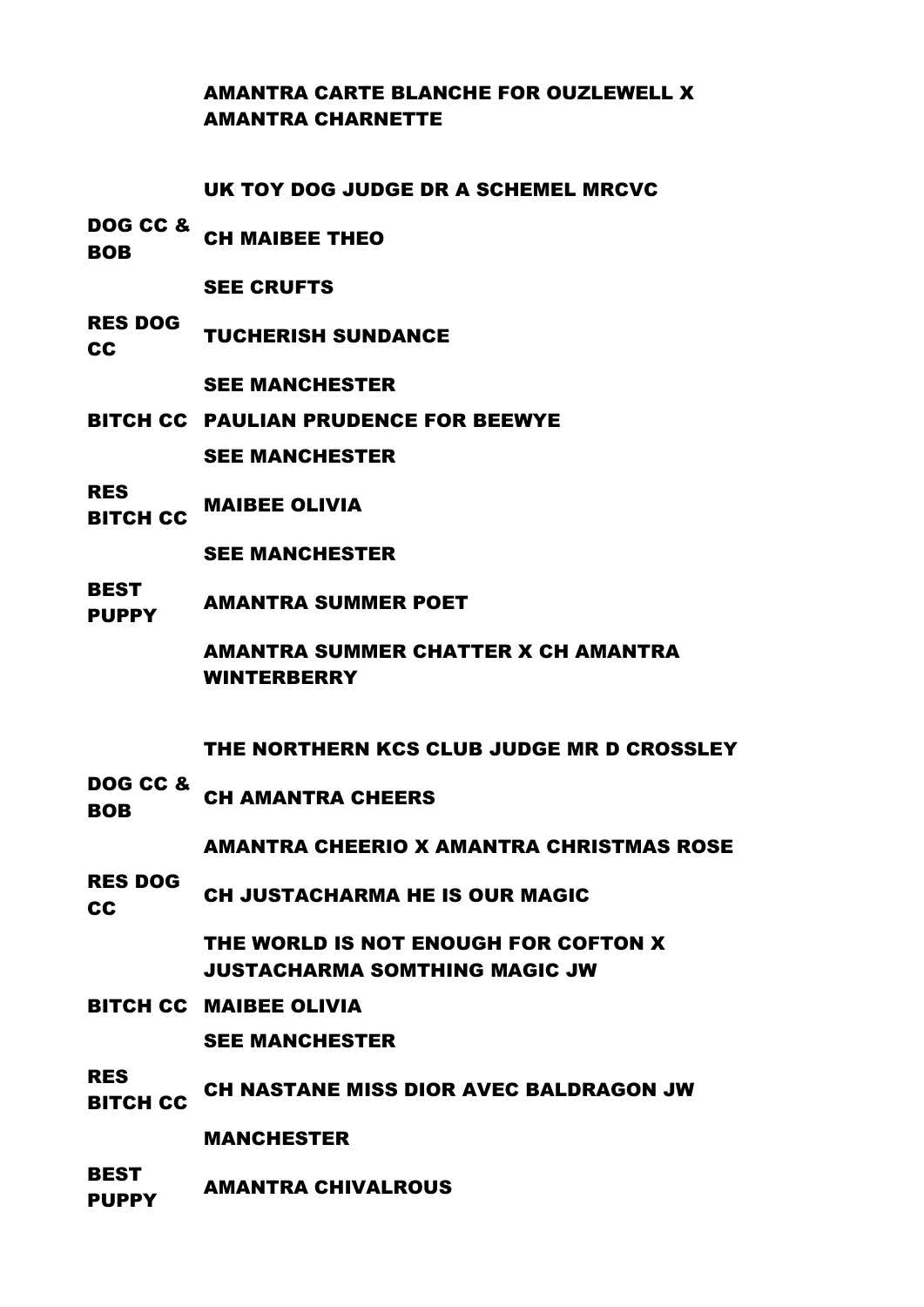# AMANTRA CARTE BLANCHE FOR OUZLEWELL X AMANTRA CHARNETTE

UK TOY DOG JUDGE DR A SCHEMEL MRCVC

DOG CC & **BOB** CH MAIBEE THEO

SEE CRUFTS

RES DOG TUCHERISH SUNDANCE

SEE MANCHESTER

- BITCH CC PAULIAN PRUDENCE FOR BEEWYE SEE MANCHESTER
- RES .....<br>BITCH CC MAIBEE OLIVIA

SEE MANCHESTER

**BEST** PUPPY AMANTRA SUMMER POET

> AMANTRA SUMMER CHATTER X CH AMANTRA WINTERBERRY

THE NORTHERN KCS CLUB JUDGE MR D CROSSLEY

DOG CC & **BOB CH AMANTRA CHEERS** 

AMANTRA CHEERIO X AMANTRA CHRISTMAS ROSE

RES DOG CH JUSTACHARMA HE IS OUR MAGIC

> THE WORLD IS NOT ENOUGH FOR COFTON X JUSTACHARMA SOMTHING MAGIC JW

BITCH CC MAIBEE OLIVIA

SEE MANCHESTER

RES TING CH NASTANE MISS DIOR AVEC BALDRAGON JW

MANCHESTER

BEST PUPPY AMANTRA CHIVALROUS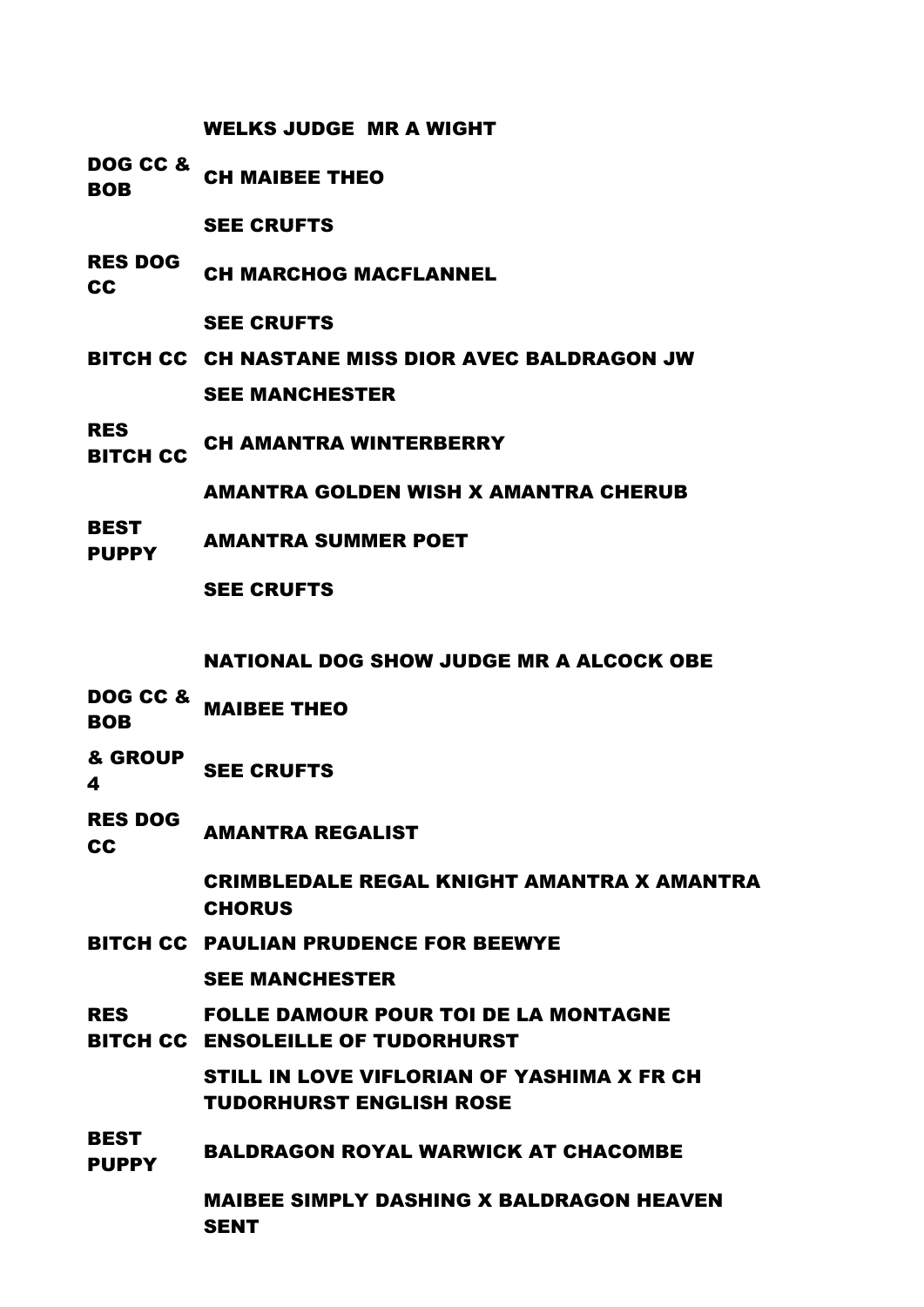WELKS JUDGE MR A WIGHT

DOG CC & BOB CH MAIBEE THEO

SEE CRUFTS

RES DOG CH MARCHOG MACFLANNEL

SEE CRUFTS

- BITCH CC CH NASTANE MISS DIOR AVEC BALDRAGON JW SEE MANCHESTER
- RES NEST CH AMANTRA WINTERBERRY

AMANTRA GOLDEN WISH X AMANTRA CHERUB

BEST PUPPY AMANTRA SUMMER POET

SEE CRUFTS

NATIONAL DOG SHOW JUDGE MR A ALCOCK OBE

- DOG CC & BOB OU & MAIBEE THEO
- 
- & GROUP SEE CRUFTS
- 4
- RES DOG **CC AMANTRA REGALIST**

CRIMBLEDALE REGAL KNIGHT AMANTRA X AMANTRA **CHORUS** 

BITCH CC PAULIAN PRUDENCE FOR BEEWYE

SEE MANCHESTER

RES BITCH CC ENSOLEILLE OF TUDORHURST FOLLE DAMOUR POUR TOI DE LA MONTAGNE

> STILL IN LOVE VIFLORIAN OF YASHIMA X FR CH TUDORHURST ENGLISH ROSE

**BEST** PUPPY BALDRAGON ROYAL WARWICK AT CHACOMBE

> MAIBEE SIMPLY DASHING X BALDRAGON HEAVEN SENT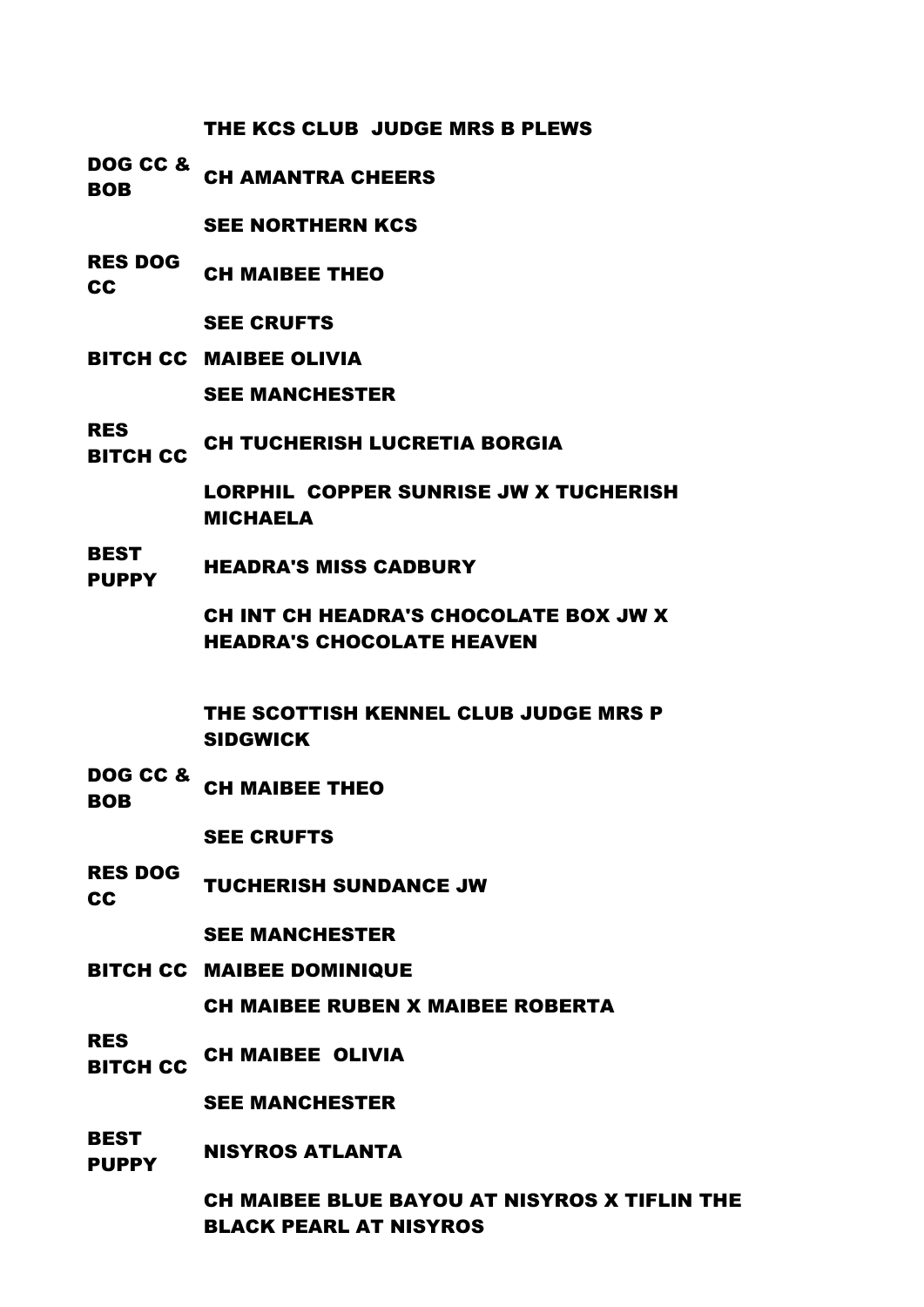THE KCS CLUB JUDGE MRS B PLEWS

DOG CC & **BOB CH AMANTRA CHEERS** 

SEE NORTHERN KCS

RES DOG CH MAIBEE THEO

SEE CRUFTS

- BITCH CC MAIBEE OLIVIA SEE MANCHESTER
- RES ..\_\_<br>BITCH CC CH TUCHERISH LUCRETIA BORGIA

LORPHIL COPPER SUNRISE JW X TUCHERISH MICHAELA

BEST **PUPPY** HEADRA'S MISS CADBURY

> CH INT CH HEADRA'S CHOCOLATE BOX JW X HEADRA'S CHOCOLATE HEAVEN

THE SCOTTISH KENNEL CLUB JUDGE MRS P SIDGWICK

DOG CC & BOB CH MAIBEE THEO

SEE CRUFTS

RES DOG TUCHERISH SUNDANCE JW

SEE MANCHESTER

BITCH CC MAIBEE DOMINIQUE

CH MAIBEE RUBEN X MAIBEE ROBERTA

RES

..\_<del>\_</del><br>Bitch CC CH MAIBEE OLIVIA

SEE MANCHESTER

**BEST PUPPY** NISYROS ATLANTA

> CH MAIBEE BLUE BAYOU AT NISYROS X TIFLIN THE BLACK PEARL AT NISYROS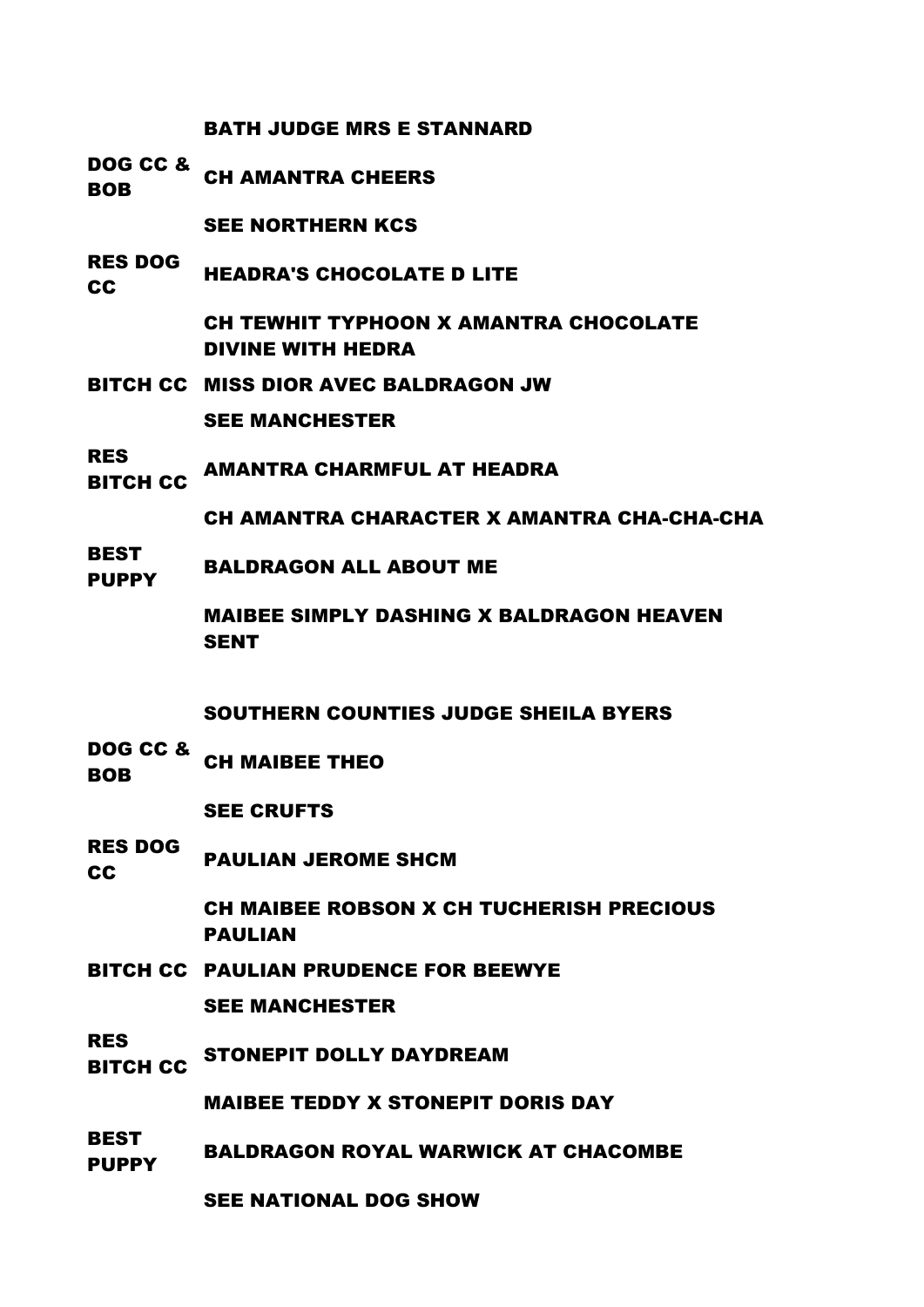# BATH JUDGE MRS E STANNARD

DOG CC & **BOB CH AMANTRA CHEERS** 

SEE NORTHERN KCS

RES DOG **CC HEADRA'S CHOCOLATE D LITE** 

> CH TEWHIT TYPHOON X AMANTRA CHOCOLATE DIVINE WITH HEDRA

- BITCH CC MISS DIOR AVEC BALDRAGON JW SEE MANCHESTER
- RES RITCH CC AMANTRA CHARMFUL AT HEADRA

CH AMANTRA CHARACTER X AMANTRA CHA-CHA-CHA

BEST **PUPPY** BALDRAGON ALL ABOUT ME

> MAIBEE SIMPLY DASHING X BALDRAGON HEAVEN **SENT**

SOUTHERN COUNTIES JUDGE SHEILA BYERS

DOG CC & BOB CH MAIBEE THEO

SEE CRUFTS

RES DOG RAULIAN JEROME SHCM

> CH MAIBEE ROBSON X CH TUCHERISH PRECIOUS PAULIAN

BITCH CC PAULIAN PRUDENCE FOR BEEWYE SEE MANCHESTER

RES

**BITCH CC** STONEPIT DOLLY DAYDREAM

MAIBEE TEDDY X STONEPIT DORIS DAY

**BEST PUPPY** BALDRAGON ROYAL WARWICK AT CHACOMBE

SEE NATIONAL DOG SHOW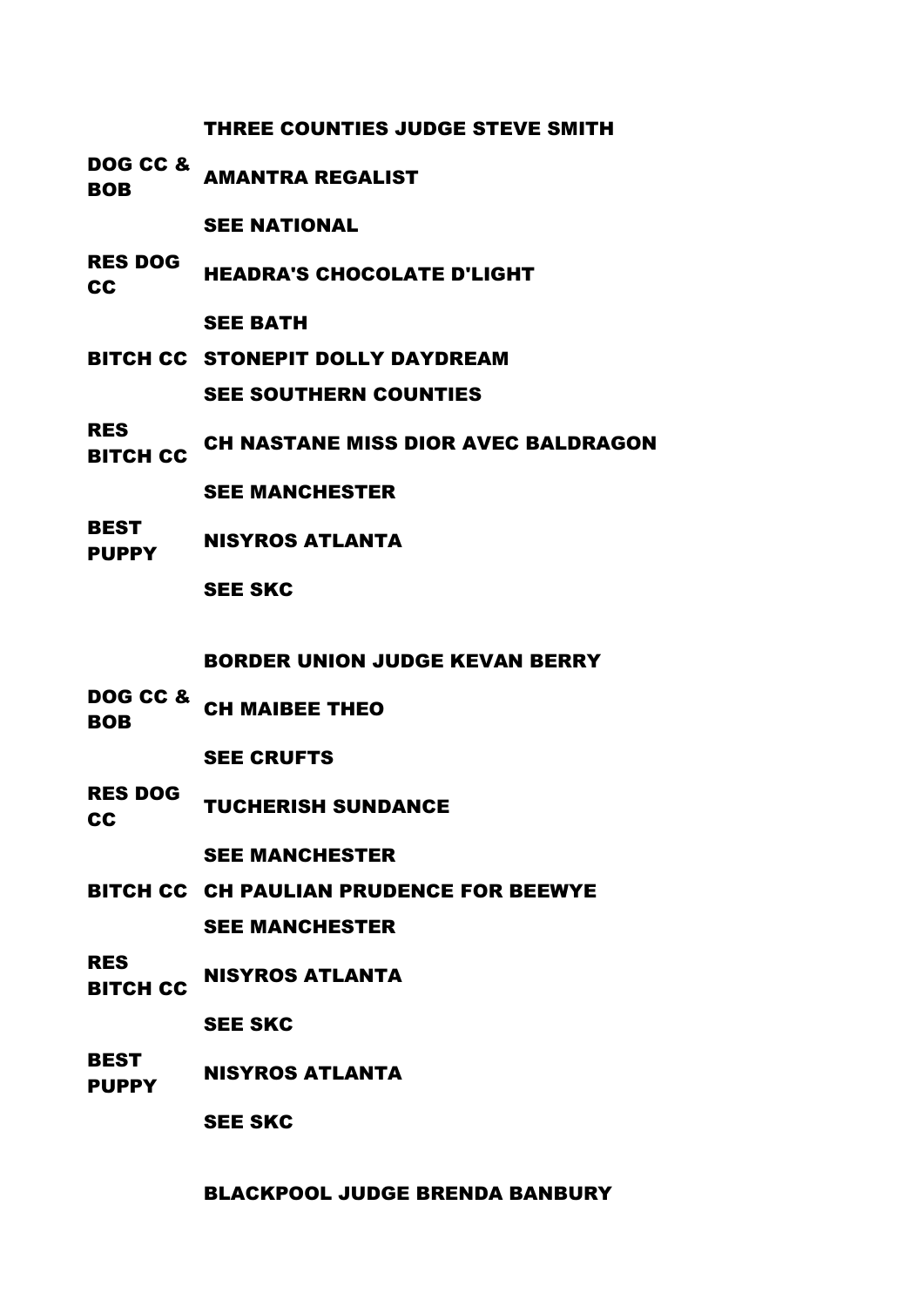# THREE COUNTIES JUDGE STEVE SMITH

DOG CC & BOB AMANTRA REGALIST

SEE NATIONAL

RES DOG READRA'S CHOCOLATE D'LIGHT

SEE BATH

- BITCH CC STONEPIT DOLLY DAYDREAM SEE SOUTHERN COUNTIES
- RES ..\_\_<br>BITCH CC CH NASTANE MISS DIOR AVEC BALDRAGON

SEE MANCHESTER

BEST PUPPY NISYROS ATLANTA

SEE SKC

BORDER UNION JUDGE KEVAN BERRY

DOG CC & BOB CH MAIBEE THEO

SEE CRUFTS

RES DOG **CC** TUCHERISH SUNDANCE

SEE MANCHESTER

- BITCH CC CH PAULIAN PRUDENCE FOR BEEWYE SEE MANCHESTER
- RES **BITCH CC** NISYROS ATLANTA

SEE SKC

BEST PUPPY NISYROS ATLANTA

SEE SKC

BLACKPOOL JUDGE BRENDA BANBURY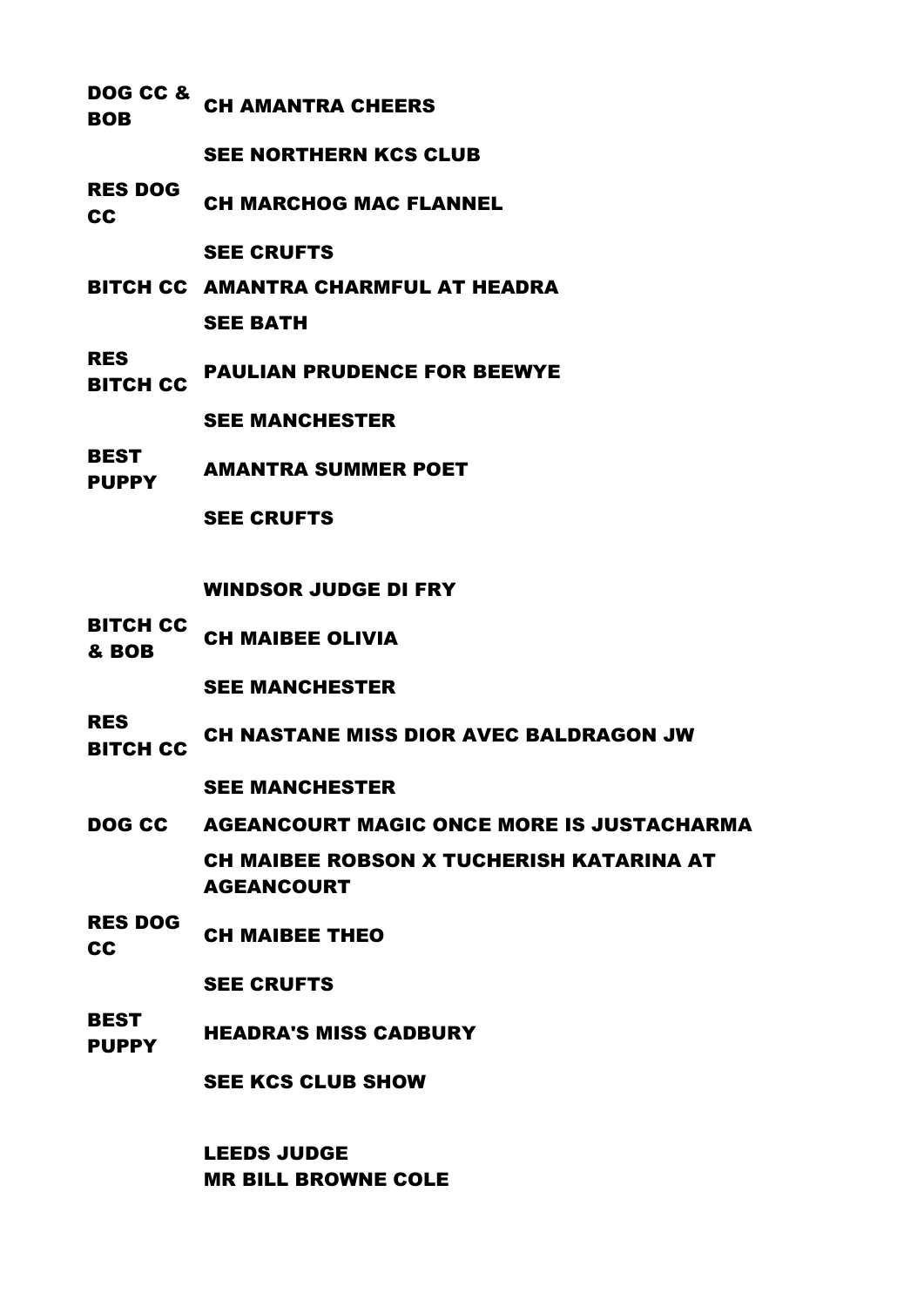DOG CC & **BOB CH AMANTRA CHEERS** 

SEE NORTHERN KCS CLUB

RES DOG CC CH MARCHOG MAC FLANNEL

SEE CRUFTS

- BITCH CC AMANTRA CHARMFUL AT HEADRA SEE BATH
- RES **BITCH CC PAULIAN PRUDENCE FOR BEEWYE** SEE MANCHESTER
- BEST
- PUPPY AMANTRA SUMMER POET

SEE CRUFTS

WINDSOR JUDGE DI FRY

BITCH CC **ELIVILLE CH MAIBEE OLIVIA** 

SEE MANCHESTER

RES

THE CH NASTANE MISS DIOR AVEC BALDRAGON JW

SEE MANCHESTER

- DOG CC AGEANCOURT MAGIC ONCE MORE IS JUSTACHARMA CH MAIBEE ROBSON X TUCHERISH KATARINA AT AGEANCOURT
- RES DOG CH MAIBEE THEO

SEE CRUFTS

**BEST** PUPPY HEADRA'S MISS CADBURY

SEE KCS CLUB SHOW

LEEDS JUDGE MR BILL BROWNE COLE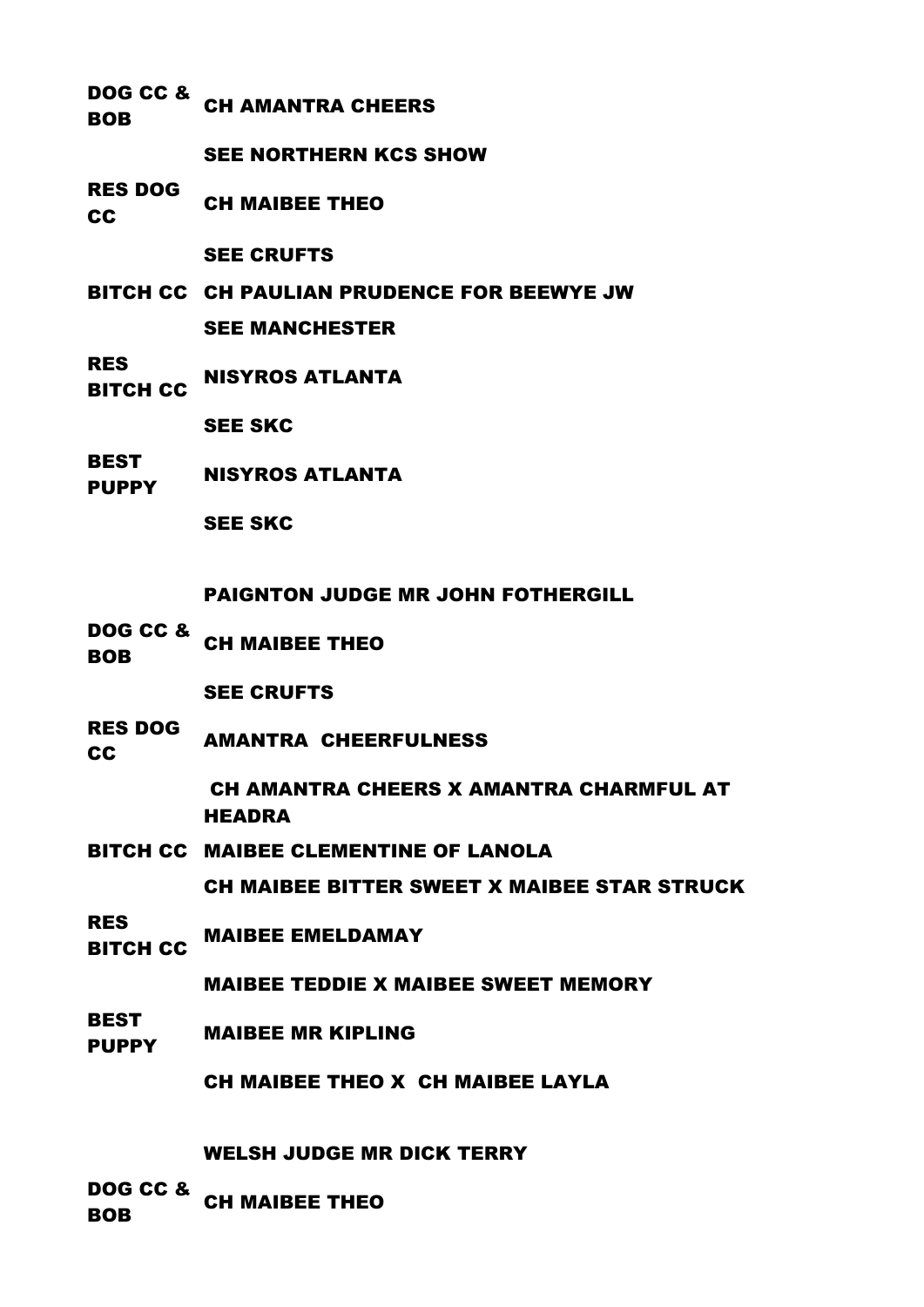DOG CC & **BOB CH AMANTRA CHEERS** 

SEE NORTHERN KCS SHOW

RES DOG CH MAIBEE THEO

SEE CRUFTS

- BITCH CC CH PAULIAN PRUDENCE FOR BEEWYE JW SEE MANCHESTER
- RES ..\_<del>\_</del><br>BITCH CC NISYROS ATLANTA

SEE SKC

**BEST** PUPPY NISYROS ATLANTA

SEE SKC

PAIGNTON JUDGE MR JOHN FOTHERGILL

DOG CC & BOB CH MAIBEE THEO

SEE CRUFTS

- RES DOG **CC** AMANTRA CHEERFULNESS
- 

CH AMANTRA CHEERS X AMANTRA CHARMFUL AT HEADRA

BITCH CC MAIBEE CLEMENTINE OF LANOLA

CH MAIBEE BITTER SWEET X MAIBEE STAR STRUCK

RES RITCH CC MAIBEE EMELDAMAY

MAIBEE TEDDIE X MAIBEE SWEET MEMORY

**BEST** PUPPY MAIBEE MR KIPLING

CH MAIBEE THEO X CH MAIBEE LAYLA

WELSH JUDGE MR DICK TERRY

DOG CC & BOB CH MAIBEE THEO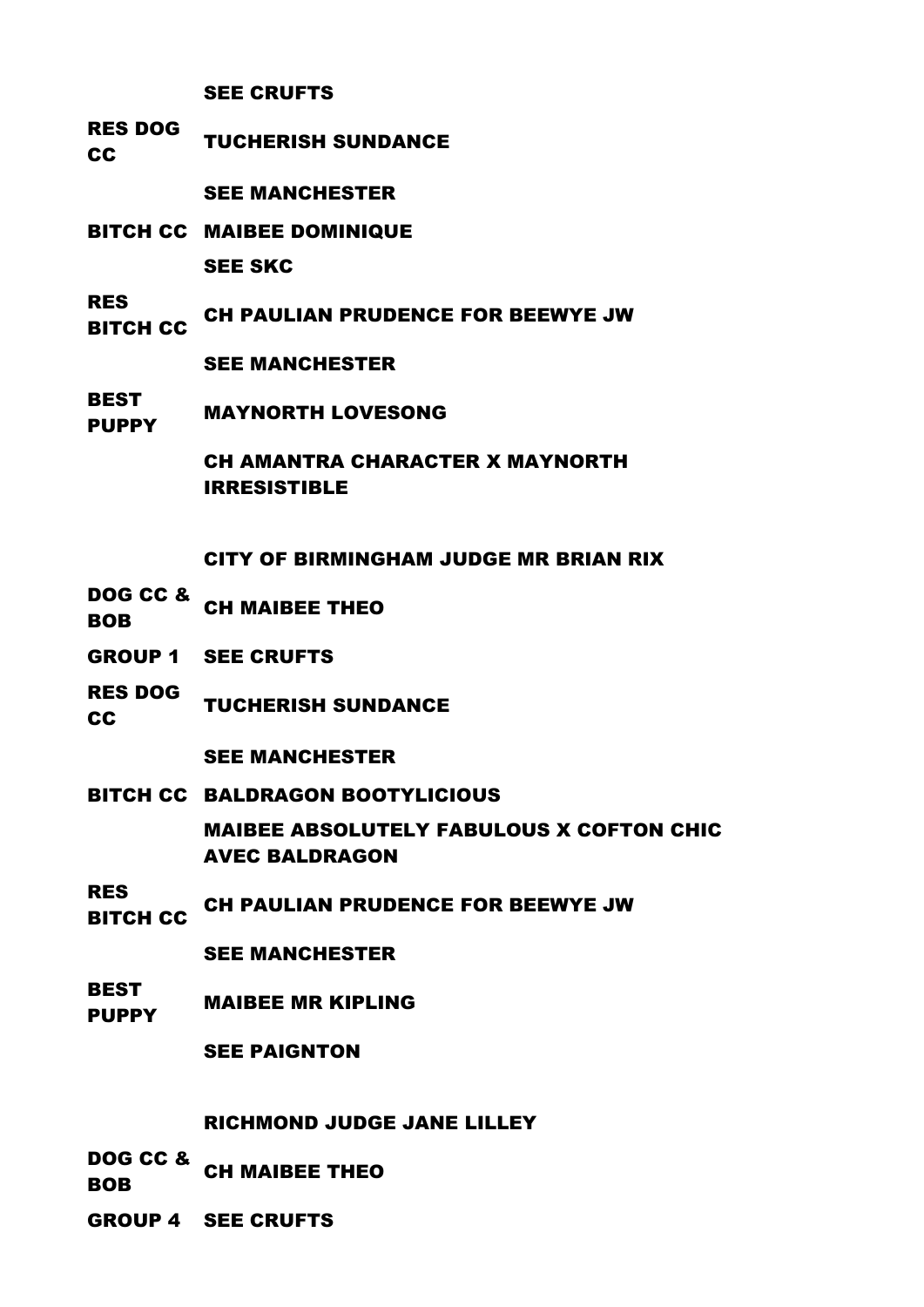# SEE CRUFTS

RES DOG TUCHERISH SUNDANCE

SEE MANCHESTER

- BITCH CC MAIBEE DOMINIQUE SEE SKC
- RES RITCH CC CH PAULIAN PRUDENCE FOR BEEWYE JW

SEE MANCHESTER

**BEST** PUPPY MAYNORTH LOVESONG

> CH AMANTRA CHARACTER X MAYNORTH IRRESISTIBLE

CITY OF BIRMINGHAM JUDGE MR BRIAN RIX

- DOG CC & BOB CH MAIBEE THEO
- GROUP 1 SEE CRUFTS
- RES DOG TUCHERISH SUNDANCE

SEE MANCHESTER

- BITCH CC BALDRAGON BOOTYLICIOUS MAIBEE ABSOLUTELY FABULOUS X COFTON CHIC
	- AVEC BALDRAGON
- RES TING CH PAULIAN PRUDENCE FOR BEEWYE JW

SEE MANCHESTER

**BEST** PUPPY MAIBEE MR KIPLING

SEE PAIGNTON

# RICHMOND JUDGE JANE LILLEY

DOG CC & BOB CH MAIBEE THEO

GROUP 4 SEE CRUFTS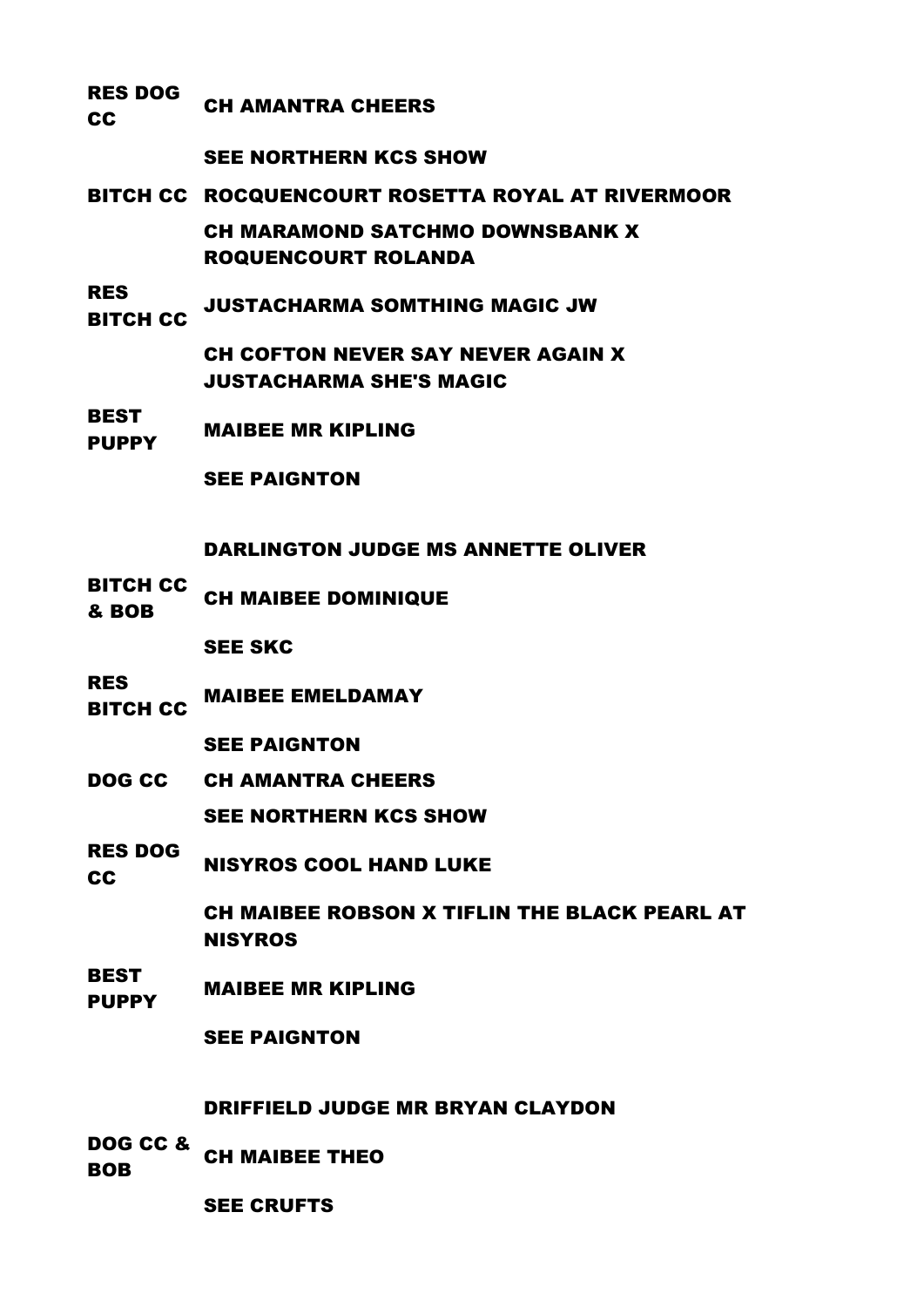#### RES DOG CH AMANTRA CHEERS

# SEE NORTHERN KCS SHOW

- BITCH CC ROCQUENCOURT ROSETTA ROYAL AT RIVERMOOR CH MARAMOND SATCHMO DOWNSBANK X ROQUENCOURT ROLANDA
- RES ..\_\_<br>BITCH CC JUSTACHARMA SOMTHING MAGIC JW

CH COFTON NEVER SAY NEVER AGAIN X JUSTACHARMA SHE'S MAGIC

BEST PUPPY MAIBEE MR KIPLING

SEE PAIGNTON

# DARLINGTON JUDGE MS ANNETTE OLIVER

BITCH CC **& BOB** CH MAIBEE DOMINIQUE

SEE SKC

RES RITCH CC MAIBEE EMELDAMAY

SEE PAIGNTON

DOG CC CH AMANTRA CHEERS

SEE NORTHERN KCS SHOW

RES DOG

**CC NISYROS COOL HAND LUKE** 

CH MAIBEE ROBSON X TIFLIN THE BLACK PEARL AT **NISYROS** 

BEST PUPPY MAIBEE MR KIPLING

SEE PAIGNTON

## DRIFFIELD JUDGE MR BRYAN CLAYDON

- DOG CC & BOB CH MAIBEE THEO
- 

SEE CRUFTS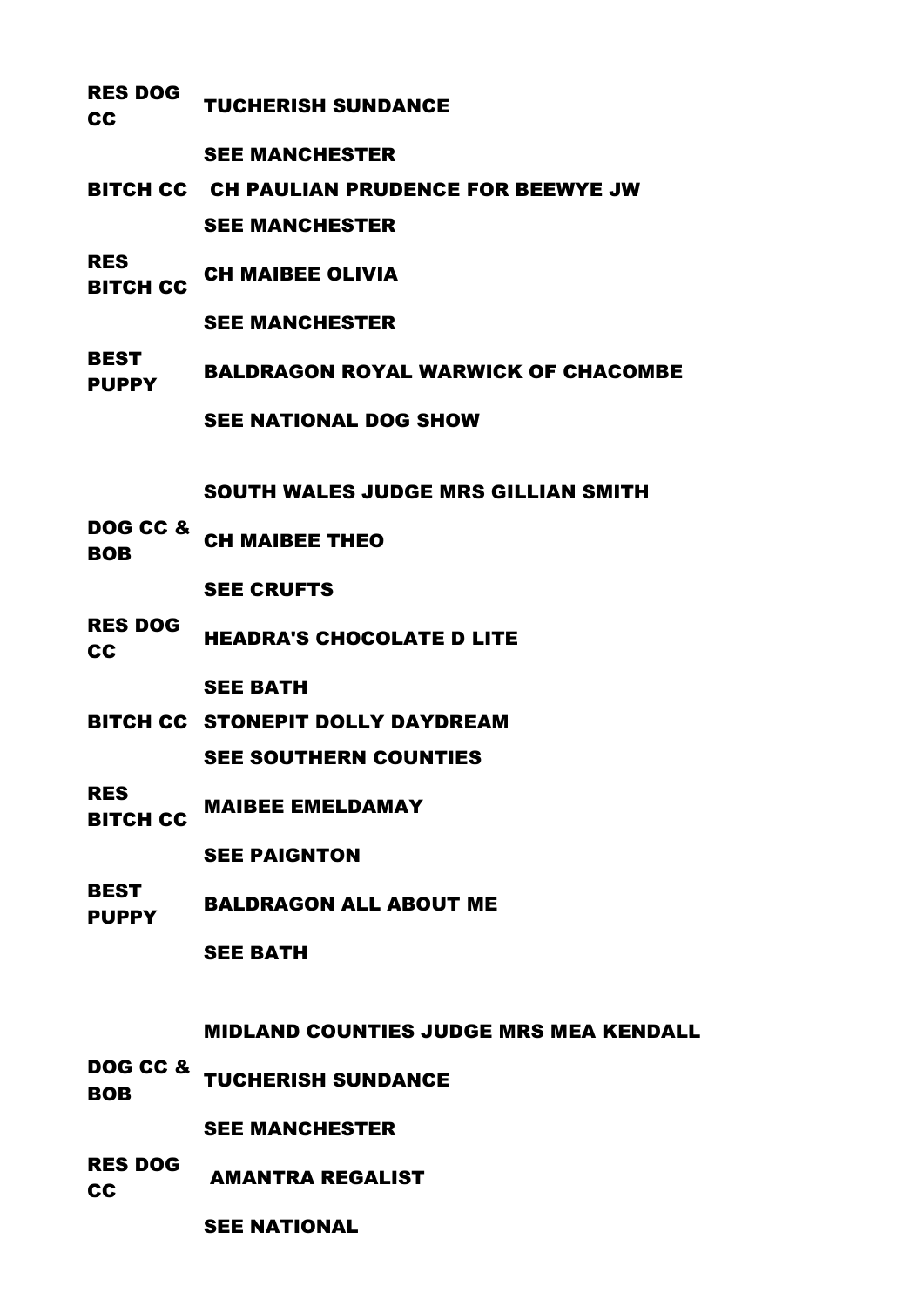RES DOG TUCHERISH SUNDANCE

SEE MANCHESTER

- BITCH CC CH PAULIAN PRUDENCE FOR BEEWYE JW SEE MANCHESTER
- RES ..\_<del>\_</del><br>BITCH CC CH MAIBEE OLIVIA
	- SEE MANCHESTER
- **BEST** PUPPY BALDRAGON ROYAL WARWICK OF CHACOMBE SEE NATIONAL DOG SHOW

SOUTH WALES JUDGE MRS GILLIAN SMITH

DOG CC & BOB CH MAIBEE THEO

SEE CRUFTS

RES DOG **CC HEADRA'S CHOCOLATE D LITE** 

SEE BATH

- BITCH CC STONEPIT DOLLY DAYDREAM SEE SOUTHERN COUNTIES
- RES RITCH CC MAIBEE EMELDAMAY

SEE PAIGNTON

BEST PUPPY BALDRAGON ALL ABOUT ME

## SEE BATH

MIDLAND COUNTIES JUDGE MRS MEA KENDALL

DOG CC & **BOB TUCHERISH SUNDANCE** 

SEE MANCHESTER

RES DOG **CC** AMANTRA REGALIST

SEE NATIONAL